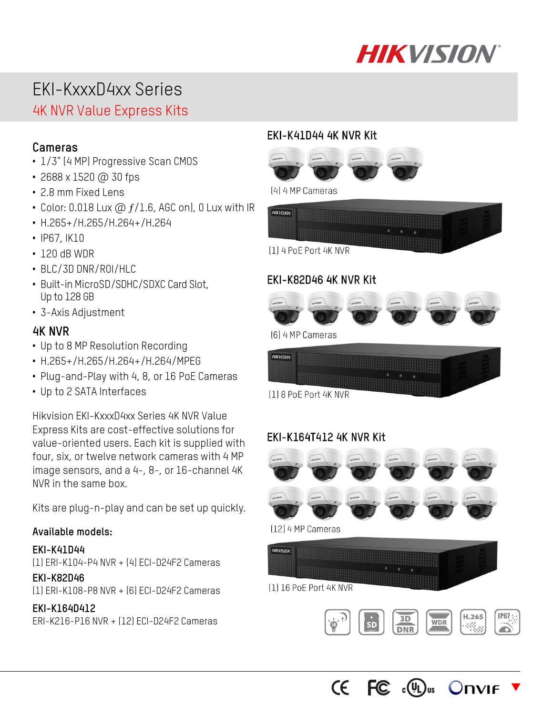

# EKI-KxxxD4xx Series

## 4K NVR Value Express Kits

- **Cameras**  1/3" (4 MP) Progressive Scan CMOS
- 2688 x 1520 @ 30 fps
- 2.8 mm Fixed Lens
- Color: 0.018 Lux  $\omega$   $f/1.6$ , AGC on), 0 Lux with IR
- H.265+/H.265/H.264+/H.264
- IP67, IK10
- 120 dB WDR
- BLC/3D DNR/ROI/HLC
- Built-in MicroSD/SDHC/SDXC Card Slot, Up to 128 GB
- 3-Axis Adjustment

- **4K NVR**  Up to 8 MP Resolution Recording
- H.265+/H.265/H.264+/H.264/MPEG
- Plug-and-Play with 4, 8, or 16 PoE Cameras
- Up to 2 SATA Interfaces

Hikvision EKI-KxxxD4xx Series 4K NVR Value Express Kits are cost-effective solutions for value-oriented users. Each kit is supplied with four, six, or twelve network cameras with 4 MP image sensors, and a 4-, 8-, or 16-channel 4K NVR in the same box.

Kits are plug-n-play and can be set up quickly.

#### **Available models:**

**EKI-K41D44**  (1) ERI-K104-P4 NVR + (4) ECI-D24F2 Cameras

#### **EKI-K82D46**

(1) ERI-K108-P8 NVR + (6) ECI-D24F2 Cameras

#### **EKI-K164D412**

ERI-K216-P16 NVR + (12) ECI-D24F2 Cameras

### EKI-K41D44 4K NVR Kit







#### EKI-K82D46 4K NVR Kit



[6] 4 MP Cameras



[1] 8 PoE Port 4K NVR

#### EKI-K164T412 4K NVR Kit



[12] 4 MP Cameras





 $CE$   $FC$   $\circ$   $(\mathbb{I})$ <sub>us</sub> **Onvie** 

 $\blacktriangledown$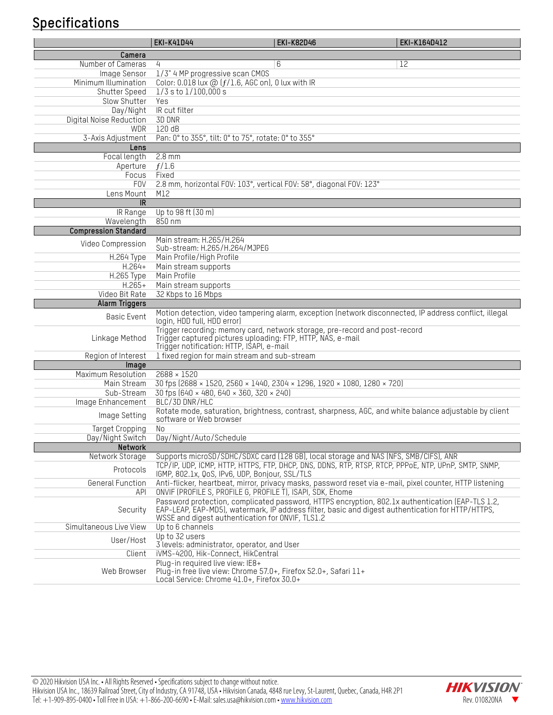## **Specifications**

|                              | <b>EKI-K41D44</b>                                                                                                                                 | <b>EKI-K82D46</b>                                                                                                                                                                                     | EKI-K164D412 |
|------------------------------|---------------------------------------------------------------------------------------------------------------------------------------------------|-------------------------------------------------------------------------------------------------------------------------------------------------------------------------------------------------------|--------------|
| Camera                       |                                                                                                                                                   |                                                                                                                                                                                                       |              |
| Number of Cameras            | 4                                                                                                                                                 | 6                                                                                                                                                                                                     | 12           |
| Image Sensor                 | 1/3" 4 MP progressive scan CM0S                                                                                                                   |                                                                                                                                                                                                       |              |
| Minimum Illumination         | Color: 0.018 lux $@$ ( $f/1.6$ , AGC on), 0 lux with IR                                                                                           |                                                                                                                                                                                                       |              |
| Shutter Speed                | $1/3$ s to $1/100,000$ s                                                                                                                          |                                                                                                                                                                                                       |              |
| Slow Shutter                 | Yes                                                                                                                                               |                                                                                                                                                                                                       |              |
| Day/Night                    | IR cut filter                                                                                                                                     |                                                                                                                                                                                                       |              |
| Digital Noise Reduction      | 3D DNR                                                                                                                                            |                                                                                                                                                                                                       |              |
| <b>WDR</b>                   | 120dB                                                                                                                                             |                                                                                                                                                                                                       |              |
| 3-Axis Adjustment            | Pan: 0° to 355°, tilt: 0° to 75°, rotate: 0° to 355°                                                                                              |                                                                                                                                                                                                       |              |
| Lens                         |                                                                                                                                                   |                                                                                                                                                                                                       |              |
| Focal length                 | $2.8 \text{ mm}$                                                                                                                                  |                                                                                                                                                                                                       |              |
| Aperture                     | f/1.6                                                                                                                                             |                                                                                                                                                                                                       |              |
| Focus                        | Fixed                                                                                                                                             |                                                                                                                                                                                                       |              |
| <b>FOV</b>                   | 2.8 mm, horizontal FOV: 103°, vertical FOV: 58°, diagonal FOV: 123°                                                                               |                                                                                                                                                                                                       |              |
| Lens Mount                   | M12                                                                                                                                               |                                                                                                                                                                                                       |              |
| <b>IR</b>                    |                                                                                                                                                   |                                                                                                                                                                                                       |              |
| $\overline{\text{IR}}$ Range | Up to 98 ft (30 m)                                                                                                                                |                                                                                                                                                                                                       |              |
| Wavelength                   | 850 nm                                                                                                                                            |                                                                                                                                                                                                       |              |
| <b>Compression Standard</b>  |                                                                                                                                                   |                                                                                                                                                                                                       |              |
| Video Compression            | Main stream: H.265/H.264<br>Sub-stream: H.265/H.264/MJPEG                                                                                         |                                                                                                                                                                                                       |              |
| H.264 Type                   | Main Profile/High Profile                                                                                                                         |                                                                                                                                                                                                       |              |
| $H.264+$                     | Main stream supports                                                                                                                              |                                                                                                                                                                                                       |              |
| H.265 Type                   | Main Profile                                                                                                                                      |                                                                                                                                                                                                       |              |
| $H.265+$                     | Main stream supports                                                                                                                              |                                                                                                                                                                                                       |              |
| Video Bit Rate               | 32 Kbps to 16 Mbps                                                                                                                                |                                                                                                                                                                                                       |              |
| <b>Alarm Triggers</b>        |                                                                                                                                                   |                                                                                                                                                                                                       |              |
| Basic Event                  | login, HDD full, HDD error)                                                                                                                       | Motion detection, video tampering alarm, exception (network disconnected, IP address conflict, illegal                                                                                                |              |
| Linkage Method               | Trigger captured pictures uploading: FTP, HTTP, NAS, e-mail<br>Trigger notification: HTTP, ISAPI, e-mail                                          | Trigger recording: memory card, network storage, pre-record and post-record                                                                                                                           |              |
| Region of Interest           | 1 fixed region for main stream and sub-stream                                                                                                     |                                                                                                                                                                                                       |              |
| Image                        |                                                                                                                                                   |                                                                                                                                                                                                       |              |
| Maximum Resolution           | $2688 \times 1520$                                                                                                                                |                                                                                                                                                                                                       |              |
| Main Stream                  |                                                                                                                                                   | 30 fps (2688 × 1520, 2560 × 1440, 2304 × 1296, 1920 × 1080, 1280 × 720)                                                                                                                               |              |
| Sub-Stream                   | 30 fps (640 × 480, 640 × 360, 320 × 240)                                                                                                          |                                                                                                                                                                                                       |              |
| Image Enhancement            | BLC/3D DNR/HLC                                                                                                                                    |                                                                                                                                                                                                       |              |
| Image Setting                |                                                                                                                                                   | Rotate mode, saturation, brightness, contrast, sharpness, AGC, and white balance adjustable by client                                                                                                 |              |
|                              | software or Web browser                                                                                                                           |                                                                                                                                                                                                       |              |
| <b>Target Cropping</b>       | No                                                                                                                                                |                                                                                                                                                                                                       |              |
| Day/Night Switch             | Day/Night/Auto/Schedule                                                                                                                           |                                                                                                                                                                                                       |              |
| Network<br>Network Storage   |                                                                                                                                                   |                                                                                                                                                                                                       |              |
|                              |                                                                                                                                                   | Supports microSD/SDHC/SDXC card (128 GB), local storage and NAS (NFS, SMB/CIFS), ANR<br>TCP/IP, UDP, ICMP, HTTP, HTTPS, FTP, DHCP, DNS, DDNS, RTP, RTSP, RTCP, PPPOE, NTP, UPnP, SMTP, SNMP,          |              |
| Protocols                    | IGMP, 802.1x, QoS, IPv6, UDP, Bonjour, SSL/TLS                                                                                                    |                                                                                                                                                                                                       |              |
| General Function<br>API      | ONVIF (PROFILE S, PROFILE G, PROFILE T), ISAPI, SDK, Ehome                                                                                        | Anti-flicker, heartbeat, mirror, privacy masks, password reset via e-mail, pixel counter, HTTP listening                                                                                              |              |
| Security                     | WSSE and digest authentication for ONVIF, TLS1.2                                                                                                  | Password protection, complicated password, HTTPS encryption, 802.1x authentication (EAP-TLS 1.2,<br>EAP-LEAP, EAP-MD5), watermark, IP address filter, basic and digest authentication for HTTP/HTTPS, |              |
| Simultaneous Live View       | Up to 6 channels                                                                                                                                  |                                                                                                                                                                                                       |              |
| User/Host                    | Up to 32 users                                                                                                                                    |                                                                                                                                                                                                       |              |
|                              | 3 levels: administrator, operator, and User                                                                                                       |                                                                                                                                                                                                       |              |
| Client                       | iVMS-4200, Hik-Connect, HikCentral                                                                                                                |                                                                                                                                                                                                       |              |
| Web Browser                  | Plug-in required live view: IE8+<br>Plug-in free live view: Chrome 57.0+, Firefox 52.0+, Safari 11+<br>Local Service: Chrome 41.0+, Firefox 30.0+ |                                                                                                                                                                                                       |              |

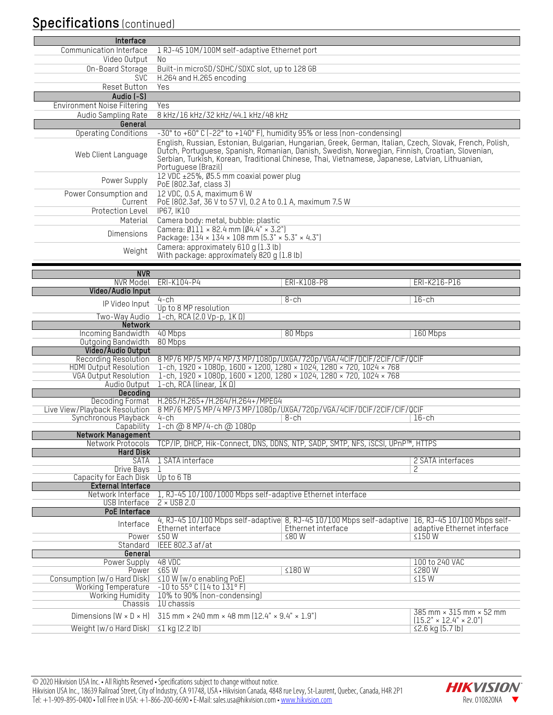## **Specifications** (continued)

| Interface                                             |                                                                                                                                                      |                                                                                                                                                                                                    |                                                            |
|-------------------------------------------------------|------------------------------------------------------------------------------------------------------------------------------------------------------|----------------------------------------------------------------------------------------------------------------------------------------------------------------------------------------------------|------------------------------------------------------------|
| Communication Interface                               | 1 RJ-45 10M/100M self-adaptive Ethernet port                                                                                                         |                                                                                                                                                                                                    |                                                            |
| Video Output<br>On-Board Storage                      | No<br>Built-in microSD/SDHC/SDXC slot, up to 128 GB                                                                                                  |                                                                                                                                                                                                    |                                                            |
| <b>SVC</b>                                            | H.264 and H.265 encoding                                                                                                                             |                                                                                                                                                                                                    |                                                            |
| <b>Reset Button</b>                                   | Yes                                                                                                                                                  |                                                                                                                                                                                                    |                                                            |
| Audio (-S)                                            |                                                                                                                                                      |                                                                                                                                                                                                    |                                                            |
| <b>Environment Noise Filtering</b>                    | Yes                                                                                                                                                  |                                                                                                                                                                                                    |                                                            |
| Audio Sampling Rate<br>General                        | 8 kHz/16 kHz/32 kHz/44.1 kHz/48 kHz                                                                                                                  |                                                                                                                                                                                                    |                                                            |
| Operating Conditions                                  | -30° to +60° C (-22° to +140° F), humidity 95% or less (non-condensing)                                                                              |                                                                                                                                                                                                    |                                                            |
|                                                       |                                                                                                                                                      | English, Russian, Estonian, Bulgarian, Hungarian, Greek, German, Italian, Czech, Slovak, French, Polish,                                                                                           |                                                            |
| Web Client Language                                   | Portuguese (Brazil)                                                                                                                                  | Dutch, Portuguese, Spanish, Romanian, Danish, Swedish, Norwegian, Finnish, Croatian, Slovenian,<br>Serbian, Turkish, Korean, Traditional Chinese, Thai, Vietnamese, Japanese, Latvian, Lithuanian, |                                                            |
| Power Supply                                          | 12 VDC ±25%, Ø5.5 mm coaxial power plug<br>PoE (802.3af, class 3)                                                                                    |                                                                                                                                                                                                    |                                                            |
| Power Consumption and<br>Current                      | 12 VDC, 0.5 A, maximum 6 W<br>PoE (802.3af, 36 V to 57 V), 0.2 A to 0.1 A, maximum 7.5 W                                                             |                                                                                                                                                                                                    |                                                            |
| Protection Level                                      | <b>IP67, IK10</b>                                                                                                                                    |                                                                                                                                                                                                    |                                                            |
| Material                                              | Camera body: metal, bubble: plastic                                                                                                                  |                                                                                                                                                                                                    |                                                            |
| Dimensions                                            | Camera: $\emptyset$ 111 × 82.4 mm ( $\emptyset$ 4.4" × 3.2")<br>Package: 134 × 134 × 108 mm (5.3" × 5.3" × 4.3")                                     |                                                                                                                                                                                                    |                                                            |
| Weight                                                | Camera: approximately 610 g (1.3 lb)<br>With package: approximately 820 g (1.8 lb)                                                                   |                                                                                                                                                                                                    |                                                            |
|                                                       |                                                                                                                                                      |                                                                                                                                                                                                    |                                                            |
| <b>NVR</b>                                            | NVR Model ERI-K104-P4                                                                                                                                | ERI-K108-P8                                                                                                                                                                                        | ERI-K216-P16                                               |
| Video/Audio Input                                     |                                                                                                                                                      |                                                                                                                                                                                                    |                                                            |
| IP Video Input                                        | 4-ch<br>Up to 8 MP resolution                                                                                                                        | 8-ch                                                                                                                                                                                               | $16$ -ch                                                   |
| Two-Way Audio                                         | $1$ -ch, RCA (2.0 Vp-p, $1K \Omega$ )                                                                                                                |                                                                                                                                                                                                    |                                                            |
| <b>Network</b>                                        |                                                                                                                                                      |                                                                                                                                                                                                    |                                                            |
| Incoming Bandwidth                                    | 40 Mbps                                                                                                                                              | 80 Mbps                                                                                                                                                                                            | 160 Mbps                                                   |
| Outgoing Bandwidth<br>Video/Audio Output              | 80 Mbps                                                                                                                                              |                                                                                                                                                                                                    |                                                            |
| <b>Recording Resolution</b>                           |                                                                                                                                                      | 8 MP/6 MP/5 MP/4 MP/3 MP/1080p/UXGA/720p/VGA/4CIF/DCIF/2CIF/CIF/QCIF                                                                                                                               |                                                            |
| HDMI Output Resolution                                | 1-ch, $1920 \times 1080p$ , $1600 \times 1200$ , $1280 \times 1024$ , $1280 \times 720$ , $1024 \times 768$                                          |                                                                                                                                                                                                    |                                                            |
| <b>VGA Output Resolution</b><br>Audio Output          | 1-ch, $1920 \times 1080p$ , $1600 \times 1200$ , $1280 \times 1024$ , $1280 \times 720$ , $1024 \times 768$<br>$1$ -ch, RCA (linear, $IK$ $\Omega$ ) |                                                                                                                                                                                                    |                                                            |
| Decoding                                              |                                                                                                                                                      |                                                                                                                                                                                                    |                                                            |
| Decoding Format                                       | H.265/H.265+/H.264/H.264+/MPEG4                                                                                                                      |                                                                                                                                                                                                    |                                                            |
| Live View/Playback Resolution<br>Synchronous Playback | $4$ -ch                                                                                                                                              | 8 MP/6 MP/5 MP/4 MP/3 MP/1080p/UXGA/720p/VGA/4CIF/DCIF/2CIF/CIF/QCIF<br>8-ch                                                                                                                       | $16$ -ch                                                   |
| Capability                                            | 1-ch @ 8 MP/4-ch @ 1080p                                                                                                                             |                                                                                                                                                                                                    |                                                            |
| <b>Network Management</b>                             |                                                                                                                                                      |                                                                                                                                                                                                    |                                                            |
| Network Protocols<br><b>Hard Disk</b>                 |                                                                                                                                                      | TCP/IP, DHCP, Hik-Connect, DNS, DDNS, NTP, SADP, SMTP, NFS, iSCSI, UPnP™, HTTPS                                                                                                                    |                                                            |
| <b>SATA</b>                                           | 1 SATA interface                                                                                                                                     |                                                                                                                                                                                                    | 2 SATA interfaces                                          |
| Drive Bays                                            |                                                                                                                                                      |                                                                                                                                                                                                    | 2                                                          |
| Capacity for Each Disk                                | Up to 6 TB                                                                                                                                           |                                                                                                                                                                                                    |                                                            |
| <b>External Interface</b><br>Network Interface        | 1, RJ-45 10/100/1000 Mbps self-adaptive Ethernet interface                                                                                           |                                                                                                                                                                                                    |                                                            |
| USB Interface                                         | $2 \times$ USB 2.0                                                                                                                                   |                                                                                                                                                                                                    |                                                            |
| <b>PoE</b> Interface                                  |                                                                                                                                                      |                                                                                                                                                                                                    |                                                            |
| Interface                                             | Ethernet interface                                                                                                                                   | 4, RJ-45 10/100 Mbps self-adaptive 8, RJ-45 10/100 Mbps self-adaptive<br>Ethernet interface                                                                                                        | 16, RJ-45 10/100 Mbps self-<br>adaptive Ethernet interface |
| Power                                                 | $\leq$ 50 W                                                                                                                                          | ≤80 W                                                                                                                                                                                              | ≤150W                                                      |
|                                                       | Standard IEEE 802.3 af/at                                                                                                                            |                                                                                                                                                                                                    |                                                            |
| General<br>Power Supply                               | 48 VDC                                                                                                                                               |                                                                                                                                                                                                    | 100 to 240 VAC                                             |
| Power                                                 | $\leq$ 65 W                                                                                                                                          | ≤180W                                                                                                                                                                                              | ≤280W                                                      |
| Consumption (w/o Hard Disk)                           | $\leq$ 15 W<br>≤10 W (w/o enabling PoE)                                                                                                              |                                                                                                                                                                                                    |                                                            |
| <b>Working Temperature</b>                            | $-10$ to 55 $^{\circ}$ C (14 to 131 $^{\circ}$ F)<br>Working Humidity 10% to 90% (non-condensing)                                                    |                                                                                                                                                                                                    |                                                            |
| Chassis                                               | 10 chassis                                                                                                                                           |                                                                                                                                                                                                    |                                                            |
|                                                       | Dimensions $(W \times D \times H)$ 315 mm $\times$ 240 mm $\times$ 48 mm (12.4" $\times$ 9.4" $\times$ 1.9")                                         |                                                                                                                                                                                                    | $385$ mm $\times$ 315 mm $\times$ 52 mm                    |
| Weight (w/o Hard Disk)                                | $\leq$ 1 kg (2.2 lb)                                                                                                                                 |                                                                                                                                                                                                    | $(15.2" \times 12.4" \times 2.0")$<br>≤2.6 kg (5.7 lb)     |
|                                                       |                                                                                                                                                      |                                                                                                                                                                                                    |                                                            |

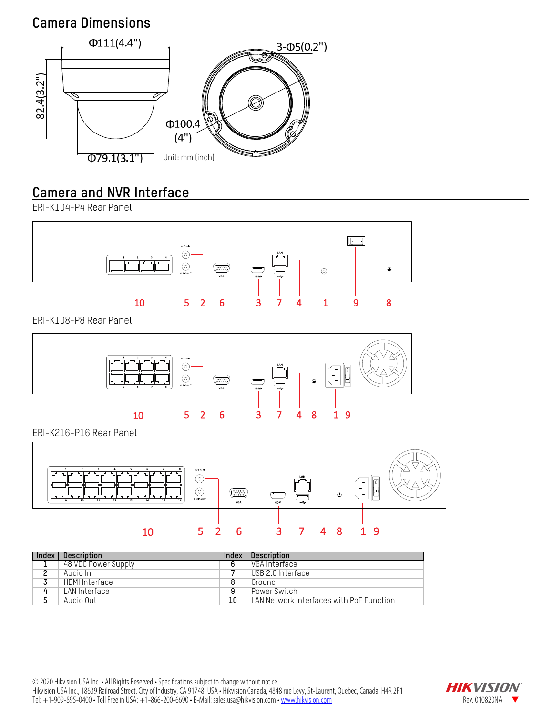## **Camera Dimensions**



## **Camera and NVR Interface**

ERI-K104-P4 Rear Panel



ERI-K108-P8 Rear Panel



ERI-K216-P16 Rear Panel



| Index | Description         | Index | Description                              |
|-------|---------------------|-------|------------------------------------------|
|       | 48 VDC Power Supply |       | VGA Interface                            |
| ົ     | Audio In            |       | USB 2.0 Interface                        |
|       | HDMI Interface      |       | Ground                                   |
| 4     | LAN Interface       | 9     | Power Switch                             |
|       | Audio Out           | 10    | LAN Network Interfaces with PoE Function |